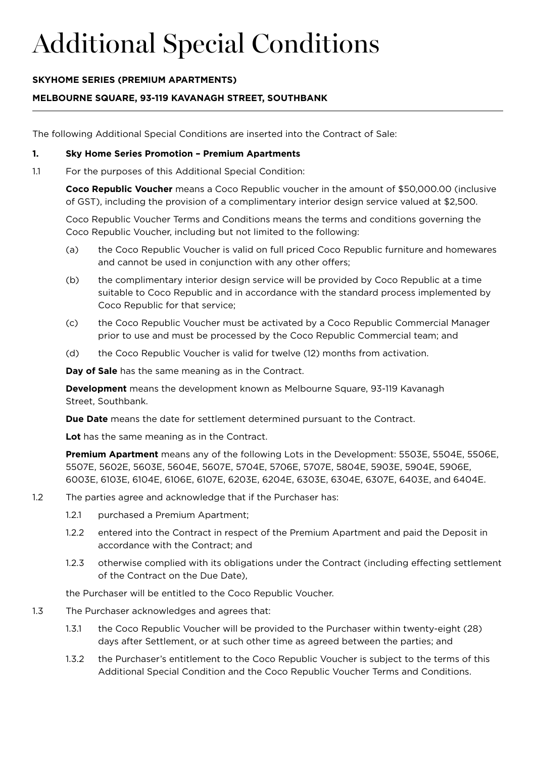## **SKYHOME SERIES (PREMIUM APARTMENTS)**

## **MELBOURNE SQUARE, 93-119 KAVANAGH STREET, SOUTHBANK**

The following Additional Special Conditions are inserted into the Contract of Sale:

#### **1. Sky Home Series Promotion – Premium Apartments**

1.1 For the purposes of this Additional Special Condition:

 **Coco Republic Voucher** means a Coco Republic voucher in the amount of \$50,000.00 (inclusive of GST), including the provision of a complimentary interior design service valued at \$2,500.

 Coco Republic Voucher Terms and Conditions means the terms and conditions governing the Coco Republic Voucher, including but not limited to the following:

- (a) the Coco Republic Voucher is valid on full priced Coco Republic furniture and homewares and cannot be used in conjunction with any other offers;
- (b) the complimentary interior design service will be provided by Coco Republic at a time suitable to Coco Republic and in accordance with the standard process implemented by Coco Republic for that service;
- (c) the Coco Republic Voucher must be activated by a Coco Republic Commercial Manager prior to use and must be processed by the Coco Republic Commercial team; and
- (d) the Coco Republic Voucher is valid for twelve (12) months from activation.

**Day of Sale** has the same meaning as in the Contract.

**Development** means the development known as Melbourne Square, 93-119 Kavanagh Street, Southbank.

**Due Date** means the date for settlement determined pursuant to the Contract.

**Lot** has the same meaning as in the Contract.

 **Premium Apartment** means any of the following Lots in the Development: 5503E, 5504E, 5506E, 5507E, 5602E, 5603E, 5604E, 5607E, 5704E, 5706E, 5707E, 5804E, 5903E, 5904E, 5906E, 6003E, 6103E, 6104E, 6106E, 6107E, 6203E, 6204E, 6303E, 6304E, 6307E, 6403E, and 6404E.

- 1.2 The parties agree and acknowledge that if the Purchaser has:
	- 1.2.1 purchased a Premium Apartment;
	- 1.2.2 entered into the Contract in respect of the Premium Apartment and paid the Deposit in accordance with the Contract; and
	- 1.2.3 otherwise complied with its obligations under the Contract (including effecting settlement of the Contract on the Due Date),

the Purchaser will be entitled to the Coco Republic Voucher.

- 1.3 The Purchaser acknowledges and agrees that:
	- 1.3.1 the Coco Republic Voucher will be provided to the Purchaser within twenty-eight (28) days after Settlement, or at such other time as agreed between the parties; and
	- 1.3.2 the Purchaser's entitlement to the Coco Republic Voucher is subject to the terms of this Additional Special Condition and the Coco Republic Voucher Terms and Conditions.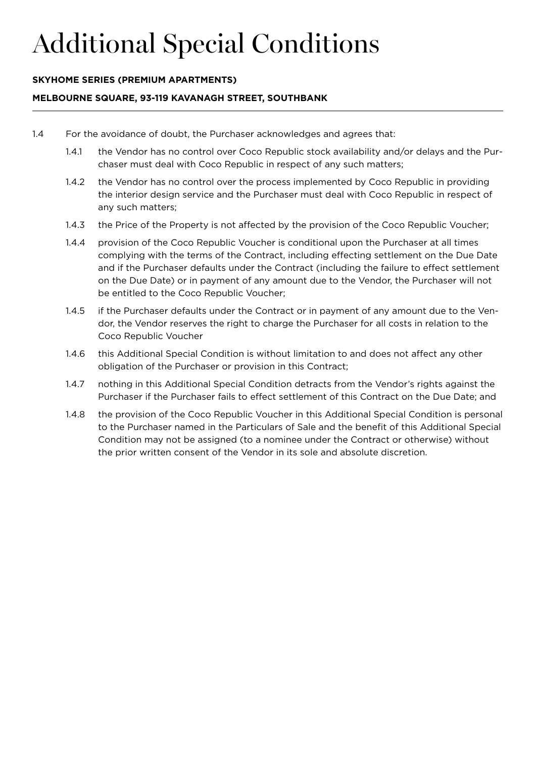#### **SKYHOME SERIES (PREMIUM APARTMENTS)**

#### **MELBOURNE SQUARE, 93-119 KAVANAGH STREET, SOUTHBANK**

- 1.4 For the avoidance of doubt, the Purchaser acknowledges and agrees that:
	- 1.4.1 the Vendor has no control over Coco Republic stock availability and/or delays and the Purchaser must deal with Coco Republic in respect of any such matters;
	- 1.4.2 the Vendor has no control over the process implemented by Coco Republic in providing the interior design service and the Purchaser must deal with Coco Republic in respect of any such matters;
	- 1.4.3 the Price of the Property is not affected by the provision of the Coco Republic Voucher;
	- 1.4.4 provision of the Coco Republic Voucher is conditional upon the Purchaser at all times complying with the terms of the Contract, including effecting settlement on the Due Date and if the Purchaser defaults under the Contract (including the failure to effect settlement on the Due Date) or in payment of any amount due to the Vendor, the Purchaser will not be entitled to the Coco Republic Voucher;
	- 1.4.5 if the Purchaser defaults under the Contract or in payment of any amount due to the Vendor, the Vendor reserves the right to charge the Purchaser for all costs in relation to the Coco Republic Voucher
	- 1.4.6 this Additional Special Condition is without limitation to and does not affect any other obligation of the Purchaser or provision in this Contract;
	- 1.4.7 nothing in this Additional Special Condition detracts from the Vendor's rights against the Purchaser if the Purchaser fails to effect settlement of this Contract on the Due Date; and
	- 1.4.8 the provision of the Coco Republic Voucher in this Additional Special Condition is personal to the Purchaser named in the Particulars of Sale and the benefit of this Additional Special Condition may not be assigned (to a nominee under the Contract or otherwise) without the prior written consent of the Vendor in its sole and absolute discretion.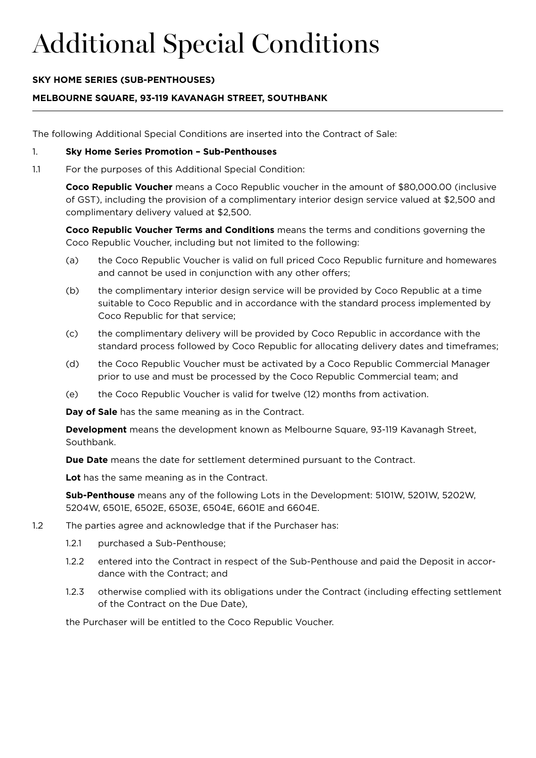## **SKY HOME SERIES (SUB-PENTHOUSES)**

## **MELBOURNE SQUARE, 93-119 KAVANAGH STREET, SOUTHBANK**

The following Additional Special Conditions are inserted into the Contract of Sale:

#### 1. **Sky Home Series Promotion – Sub-Penthouses**

1.1 For the purposes of this Additional Special Condition:

 **Coco Republic Voucher** means a Coco Republic voucher in the amount of \$80,000.00 (inclusive of GST), including the provision of a complimentary interior design service valued at \$2,500 and complimentary delivery valued at \$2,500.

**Coco Republic Voucher Terms and Conditions** means the terms and conditions governing the Coco Republic Voucher, including but not limited to the following:

- (a) the Coco Republic Voucher is valid on full priced Coco Republic furniture and homewares and cannot be used in conjunction with any other offers;
- (b) the complimentary interior design service will be provided by Coco Republic at a time suitable to Coco Republic and in accordance with the standard process implemented by Coco Republic for that service;
- (c) the complimentary delivery will be provided by Coco Republic in accordance with the standard process followed by Coco Republic for allocating delivery dates and timeframes;
- (d) the Coco Republic Voucher must be activated by a Coco Republic Commercial Manager prior to use and must be processed by the Coco Republic Commercial team; and
- (e) the Coco Republic Voucher is valid for twelve (12) months from activation.

**Day of Sale** has the same meaning as in the Contract.

 **Development** means the development known as Melbourne Square, 93-119 Kavanagh Street, Southbank.

**Due Date** means the date for settlement determined pursuant to the Contract.

**Lot** has the same meaning as in the Contract.

**Sub-Penthouse** means any of the following Lots in the Development: 5101W, 5201W, 5202W, 5204W, 6501E, 6502E, 6503E, 6504E, 6601E and 6604E.

- 1.2 The parties agree and acknowledge that if the Purchaser has:
	- 1.2.1 purchased a Sub-Penthouse;
	- 1.2.2 entered into the Contract in respect of the Sub-Penthouse and paid the Deposit in accordance with the Contract; and
	- 1.2.3 otherwise complied with its obligations under the Contract (including effecting settlement of the Contract on the Due Date),

the Purchaser will be entitled to the Coco Republic Voucher.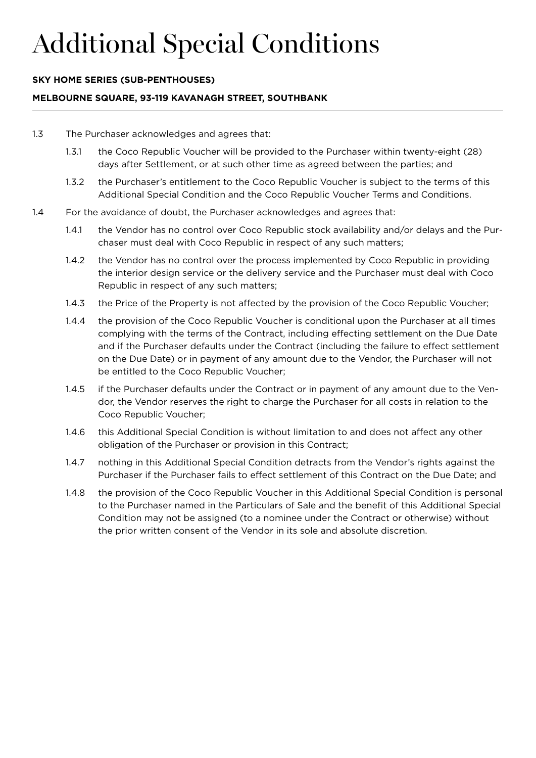### **SKY HOME SERIES (SUB-PENTHOUSES)**

#### **MELBOURNE SQUARE, 93-119 KAVANAGH STREET, SOUTHBANK**

- 1.3 The Purchaser acknowledges and agrees that:
	- 1.3.1 the Coco Republic Voucher will be provided to the Purchaser within twenty-eight (28) days after Settlement, or at such other time as agreed between the parties; and
	- 1.3.2 the Purchaser's entitlement to the Coco Republic Voucher is subject to the terms of this Additional Special Condition and the Coco Republic Voucher Terms and Conditions.
- 1.4 For the avoidance of doubt, the Purchaser acknowledges and agrees that:
	- 1.4.1 the Vendor has no control over Coco Republic stock availability and/or delays and the Purchaser must deal with Coco Republic in respect of any such matters;
	- 1.4.2 the Vendor has no control over the process implemented by Coco Republic in providing the interior design service or the delivery service and the Purchaser must deal with Coco Republic in respect of any such matters;
	- 1.4.3 the Price of the Property is not affected by the provision of the Coco Republic Voucher;
	- 1.4.4 the provision of the Coco Republic Voucher is conditional upon the Purchaser at all times complying with the terms of the Contract, including effecting settlement on the Due Date and if the Purchaser defaults under the Contract (including the failure to effect settlement on the Due Date) or in payment of any amount due to the Vendor, the Purchaser will not be entitled to the Coco Republic Voucher;
	- 1.4.5 if the Purchaser defaults under the Contract or in payment of any amount due to the Vendor, the Vendor reserves the right to charge the Purchaser for all costs in relation to the Coco Republic Voucher;
	- 1.4.6 this Additional Special Condition is without limitation to and does not affect any other obligation of the Purchaser or provision in this Contract;
	- 1.4.7 nothing in this Additional Special Condition detracts from the Vendor's rights against the Purchaser if the Purchaser fails to effect settlement of this Contract on the Due Date; and
	- 1.4.8 the provision of the Coco Republic Voucher in this Additional Special Condition is personal to the Purchaser named in the Particulars of Sale and the benefit of this Additional Special Condition may not be assigned (to a nominee under the Contract or otherwise) without the prior written consent of the Vendor in its sole and absolute discretion.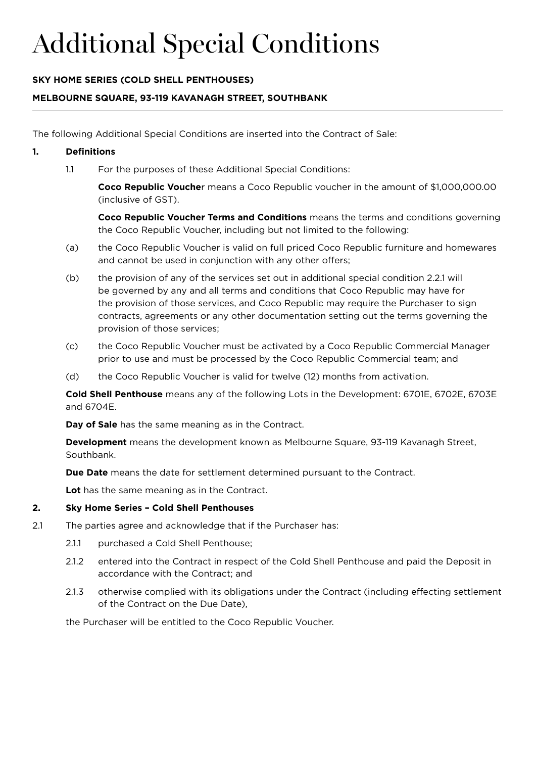## **SKY HOME SERIES (COLD SHELL PENTHOUSES)**

## **MELBOURNE SQUARE, 93-119 KAVANAGH STREET, SOUTHBANK**

The following Additional Special Conditions are inserted into the Contract of Sale:

### **1. Definitions**

1.1 For the purposes of these Additional Special Conditions:

 **Coco Republic Vouche**r means a Coco Republic voucher in the amount of \$1,000,000.00 (inclusive of GST).

 **Coco Republic Voucher Terms and Conditions** means the terms and conditions governing the Coco Republic Voucher, including but not limited to the following:

- (a) the Coco Republic Voucher is valid on full priced Coco Republic furniture and homewares and cannot be used in conjunction with any other offers;
- (b) the provision of any of the services set out in additional special condition 2.2.1 will be governed by any and all terms and conditions that Coco Republic may have for the provision of those services, and Coco Republic may require the Purchaser to sign contracts, agreements or any other documentation setting out the terms governing the provision of those services;
- (c) the Coco Republic Voucher must be activated by a Coco Republic Commercial Manager prior to use and must be processed by the Coco Republic Commercial team; and
- (d) the Coco Republic Voucher is valid for twelve (12) months from activation.

**Cold Shell Penthouse** means any of the following Lots in the Development: 6701E, 6702E, 6703E and 6704E.

**Day of Sale** has the same meaning as in the Contract.

 **Development** means the development known as Melbourne Square, 93-119 Kavanagh Street, Southbank.

**Due Date** means the date for settlement determined pursuant to the Contract.

**Lot** has the same meaning as in the Contract.

### **2. Sky Home Series – Cold Shell Penthouses**

- 2.1 The parties agree and acknowledge that if the Purchaser has:
	- 2.1.1 purchased a Cold Shell Penthouse;
	- 2.1.2 entered into the Contract in respect of the Cold Shell Penthouse and paid the Deposit in accordance with the Contract; and
	- 2.1.3 otherwise complied with its obligations under the Contract (including effecting settlement of the Contract on the Due Date),

the Purchaser will be entitled to the Coco Republic Voucher.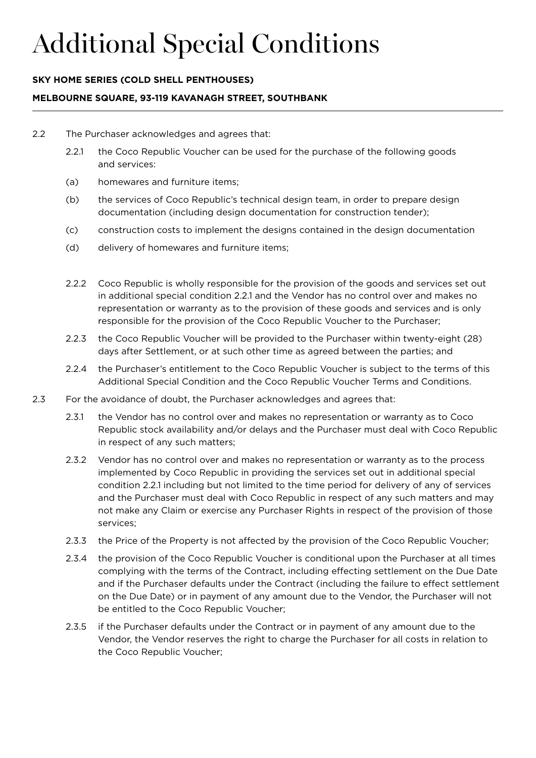## **SKY HOME SERIES (COLD SHELL PENTHOUSES)**

### **MELBOURNE SQUARE, 93-119 KAVANAGH STREET, SOUTHBANK**

- 2.2 The Purchaser acknowledges and agrees that:
	- 2.2.1 the Coco Republic Voucher can be used for the purchase of the following goods and services:
	- (a) homewares and furniture items;
	- (b) the services of Coco Republic's technical design team, in order to prepare design documentation (including design documentation for construction tender);
	- (c) construction costs to implement the designs contained in the design documentation
	- (d) delivery of homewares and furniture items;
	- 2.2.2 Coco Republic is wholly responsible for the provision of the goods and services set out in additional special condition 2.2.1 and the Vendor has no control over and makes no representation or warranty as to the provision of these goods and services and is only responsible for the provision of the Coco Republic Voucher to the Purchaser;
	- 2.2.3 the Coco Republic Voucher will be provided to the Purchaser within twenty-eight (28) days after Settlement, or at such other time as agreed between the parties; and
	- 2.2.4 the Purchaser's entitlement to the Coco Republic Voucher is subject to the terms of this Additional Special Condition and the Coco Republic Voucher Terms and Conditions.
- 2.3 For the avoidance of doubt, the Purchaser acknowledges and agrees that:
	- 2.3.1 the Vendor has no control over and makes no representation or warranty as to Coco Republic stock availability and/or delays and the Purchaser must deal with Coco Republic in respect of any such matters;
	- 2.3.2 Vendor has no control over and makes no representation or warranty as to the process implemented by Coco Republic in providing the services set out in additional special condition 2.2.1 including but not limited to the time period for delivery of any of services and the Purchaser must deal with Coco Republic in respect of any such matters and may not make any Claim or exercise any Purchaser Rights in respect of the provision of those services;
	- 2.3.3 the Price of the Property is not affected by the provision of the Coco Republic Voucher;
	- 2.3.4 the provision of the Coco Republic Voucher is conditional upon the Purchaser at all times complying with the terms of the Contract, including effecting settlement on the Due Date and if the Purchaser defaults under the Contract (including the failure to effect settlement on the Due Date) or in payment of any amount due to the Vendor, the Purchaser will not be entitled to the Coco Republic Voucher;
	- 2.3.5 if the Purchaser defaults under the Contract or in payment of any amount due to the Vendor, the Vendor reserves the right to charge the Purchaser for all costs in relation to the Coco Republic Voucher;